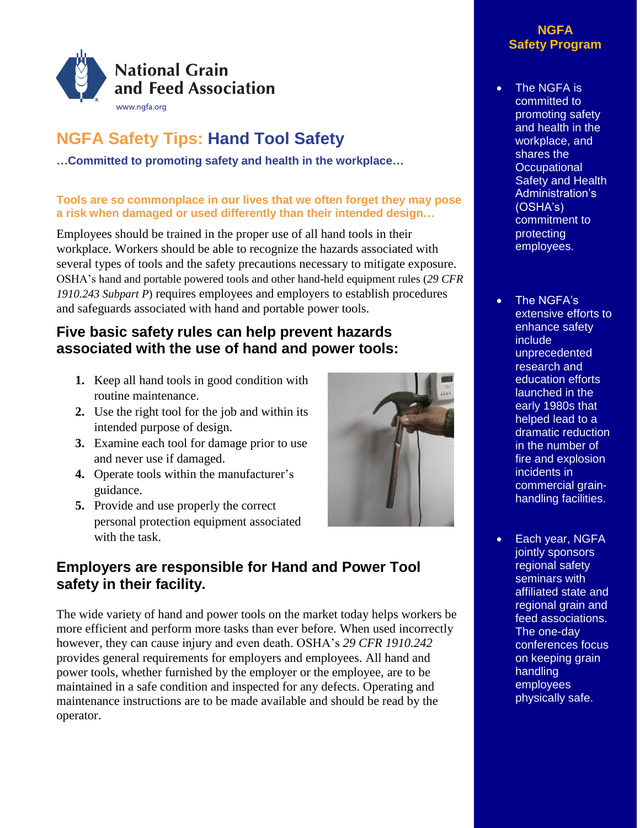

# **NGFA Safety Tips: Hand Tool Safety**

**…Committed to promoting safety and health in the workplace…**

#### **Tools are so commonplace in our lives that we often forget they may pose a risk when damaged or used differently than their intended design…**

Employees should be trained in the proper use of all hand tools in their workplace. Workers should be able to recognize the hazards associated with several types of tools and the safety precautions necessary to mitigate exposure. OSHA's hand and portable powered tools and other hand-held equipment rules (*29 CFR 1910.243 Subpart P*) requires employees and employers to establish procedures and safeguards associated with hand and portable power tools.

## **Five basic safety rules can help prevent hazards associated with the use of hand and power tools:**

- **1.** Keep all hand tools in good condition with routine maintenance.
- **2.** Use the right tool for the job and within its intended purpose of design.
- **3.** Examine each tool for damage prior to use and never use if damaged.
- **4.** Operate tools within the manufacturer's guidance.
- **5.** Provide and use properly the correct personal protection equipment associated with the task.

## **Employers are responsible for Hand and Power Tool safety in their facility.**

The wide variety of hand and power tools on the market today helps workers be more efficient and perform more tasks than ever before. When used incorrectly however, they can cause injury and even death. OSHA's *29 CFR 1910.242* provides general requirements for employers and employees. All hand and power tools, whether furnished by the employer or the employee, are to be maintained in a safe condition and inspected for any defects. Operating and maintenance instructions are to be made available and should be read by the operator.



#### **NGFA Safety Program**

- The NGFA is committed to promoting safety and health in the workplace, and shares the **Occupational** Safety and Health Administration's (OSHA's) commitment to protecting employees.
- The NGFA's extensive efforts to enhance safety include unprecedented research and education efforts launched in the early 1980s that helped lead to a dramatic reduction in the number of fire and explosion incidents in commercial grainhandling facilities.
- Each year, NGFA jointly sponsors regional safety seminars with affiliated state and regional grain and feed associations. The one-day conferences focus on keeping grain handling employees physically safe.